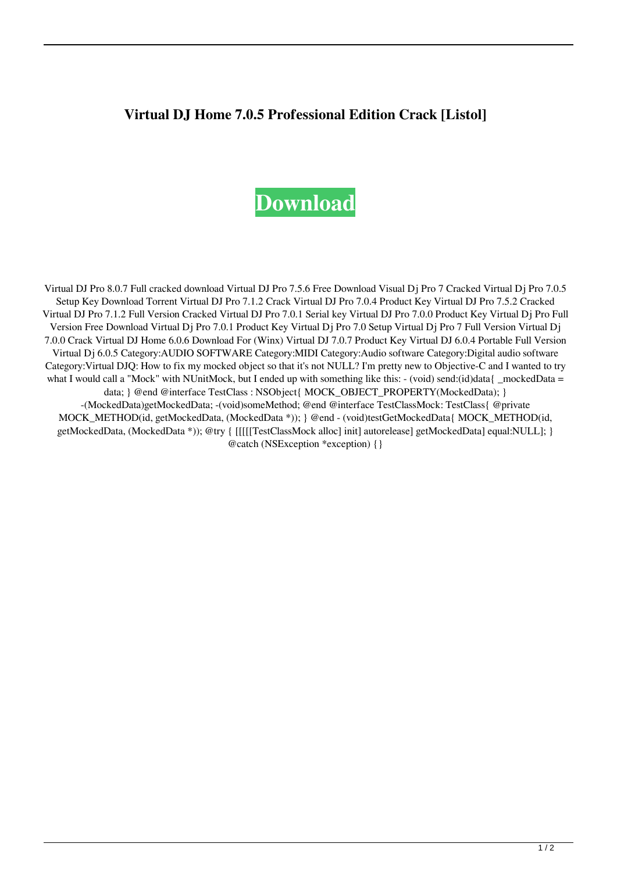## **Virtual DJ Home 7.0.5 Professional Edition Crack [Listol]**

## **[Download](https://urluss.com/2l0hzf)**

Virtual DJ Pro 8.0.7 Full cracked download Virtual DJ Pro 7.5.6 Free Download Visual Dj Pro 7 Cracked Virtual Dj Pro 7.0.5 Setup Key Download Torrent Virtual DJ Pro 7.1.2 Crack Virtual DJ Pro 7.0.4 Product Key Virtual DJ Pro 7.5.2 Cracked Virtual DJ Pro 7.1.2 Full Version Cracked Virtual DJ Pro 7.0.1 Serial key Virtual DJ Pro 7.0.0 Product Key Virtual Dj Pro Full Version Free Download Virtual Dj Pro 7.0.1 Product Key Virtual Dj Pro 7.0 Setup Virtual Dj Pro 7 Full Version Virtual Dj 7.0.0 Crack Virtual DJ Home 6.0.6 Download For (Winx) Virtual DJ 7.0.7 Product Key Virtual DJ 6.0.4 Portable Full Version Virtual Dj 6.0.5 Category:AUDIO SOFTWARE Category:MIDI Category:Audio software Category:Digital audio software Category:Virtual DJQ: How to fix my mocked object so that it's not NULL? I'm pretty new to Objective-C and I wanted to try what I would call a "Mock" with NUnitMock, but I ended up with something like this: - (void) send:(id)data{ \_mockedData = data; } @end @interface TestClass : NSObject{ MOCK\_OBJECT\_PROPERTY(MockedData); } -(MockedData)getMockedData; -(void)someMethod; @end @interface TestClassMock: TestClass{ @private MOCK\_METHOD(id, getMockedData, (MockedData \*)); } @end - (void)testGetMockedData{ MOCK\_METHOD(id, getMockedData, (MockedData \*)); @try { [[[[[TestClassMock alloc] init] autorelease] getMockedData] equal:NULL]; } @catch (NSException \*exception) {}